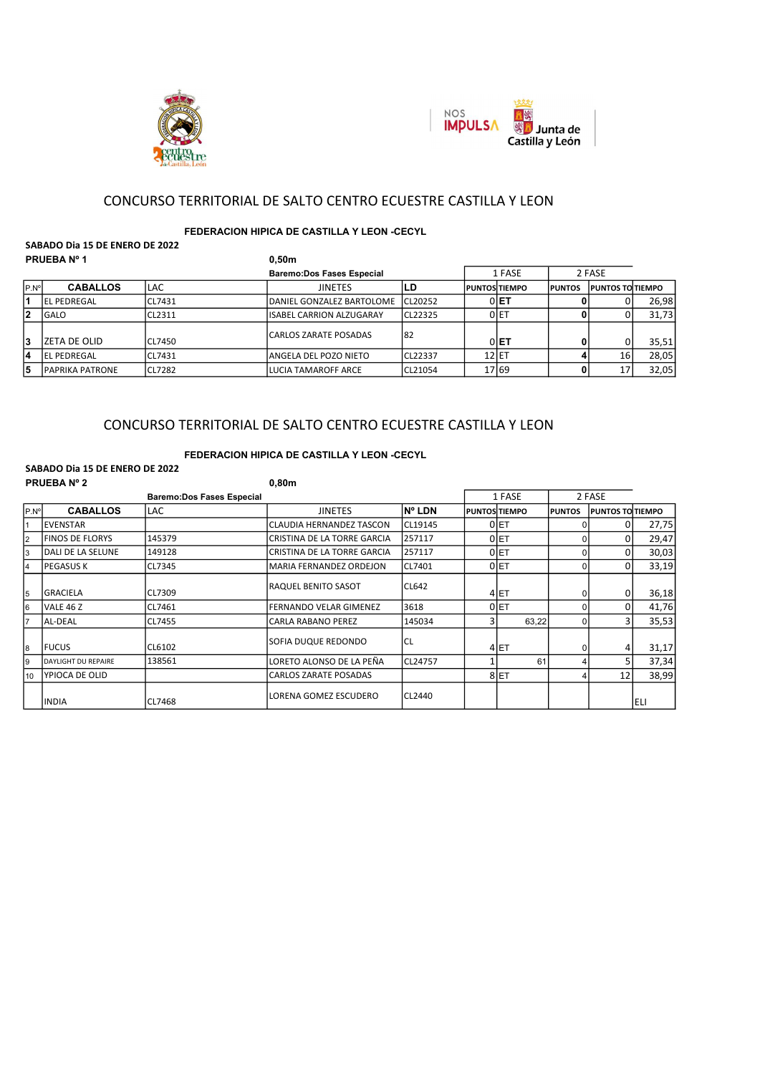



# CONCURSO TERRITORIAL DE SALTO CENTRO ECUESTRE CASTILLA Y LEON

## FEDERACION HIPICA DE CASTILLA Y LEON -CECYL

#### SABADO Dia 15 DE ENERO DE 2022 PRUEBA Nº 1 0.50m

| .     |                         |               |                                  |          |         |                       |                |                          |       |
|-------|-------------------------|---------------|----------------------------------|----------|---------|-----------------------|----------------|--------------------------|-------|
|       |                         |               | <b>Baremo:Dos Fases Especial</b> |          |         | 1 FASE                |                | 2 FASE                   |       |
| IP.Nº | <b>CABALLOS</b>         | <b>LAC</b>    | <b>JINETES</b>                   | LD       |         | <b>IPUNTOSITIEMPO</b> | <b>IPUNTOS</b> | <b>IPUNTOS TO TIEMPO</b> |       |
|       | IEL PEDREGAL            | CL7431        | IDANIEL GONZALEZ BARTOLOME       | ICL20252 |         | $0$ $E$ T             |                |                          | 26,98 |
| 2     | lGALO                   | <b>CL2311</b> | lISABEL CARRION ALZUGARAY        | ICL22325 |         | OIET                  |                |                          | 31,73 |
| 3     | ZETA DE OLID            | <b>CL7450</b> | lCARLOS ZARATE POSADAS           | 182      |         | $0 E$ T               |                |                          | 35,51 |
| 14    | IEL PEDREGAL            | CL7431        | langela del pozo nieto           | ICL22337 | $12$ ET |                       |                | 16                       | 28,05 |
| 5     | <b>IPAPRIKA PATRONE</b> | <b>CL7282</b> | LUCIA TAMAROFF ARCE              | ICL21054 |         | 17 69                 |                |                          | 32,05 |

# CONCURSO TERRITORIAL DE SALTO CENTRO ECUESTRE CASTILLA Y LEON

### FEDERACION HIPICA DE CASTILLA Y LEON -CECYL

#### SABADO Dia 15 DE ENERO DE 2022 PRIJERA Nº 2 0,80m e 1999 (n. 1999).<br>PRIJERA Nº 2

|                | PRUEBA Nº 2            |                                  | <b>u</b> ,80m                   |               |   |                      |                |                         |       |
|----------------|------------------------|----------------------------------|---------------------------------|---------------|---|----------------------|----------------|-------------------------|-------|
|                |                        | <b>Baremo:Dos Fases Especial</b> |                                 |               |   | 1 FASE               |                | 2 FASE                  |       |
| P.N°           | <b>CABALLOS</b>        | <b>LAC</b>                       | <b>JINETES</b>                  | <b>N° LDN</b> |   | <b>PUNTOS TIEMPO</b> | <b>IPUNTOS</b> | <b>PUNTOS TO TIEMPO</b> |       |
|                | IEVENSTAR              |                                  | <b>CLAUDIA HERNANDEZ TASCON</b> | CL19145       |   | 0 ET                 |                |                         | 27,75 |
| $\overline{2}$ | <b>FINOS DE FLORYS</b> | 145379                           | CRISTINA DE LA TORRE GARCIA     | 257117        |   | 0 ET                 |                |                         | 29,47 |
| 3              | DALI DE LA SELUNE      | 149128                           | CRISTINA DE LA TORRE GARCIA     | 257117        |   | $0$ ET               |                |                         | 30,03 |
| $\overline{4}$ | lPEGASUS K             | CL7345                           | MARIA FERNANDEZ ORDEJON         | CL7401        |   | $0$ ET               |                |                         | 33,19 |
| 5              | <b>GRACIELA</b>        | CL7309                           | RAQUEL BENITO SASOT             | <b>CL642</b>  |   | 4 ET                 |                |                         | 36,18 |
| 6              | VALE 46 Z              | CL7461                           | FERNANDO VELAR GIMENEZ          | 3618          |   | $0$ ET               |                |                         | 41,76 |
| 7              | lAL-DEAL               | CL7455                           | <b>CARLA RABANO PEREZ</b>       | 145034        | 3 | 63,22                |                |                         | 35,53 |
| 8              | lfucus                 | CL6102                           | ISOFIA DUQUE REDONDO            | CL            |   | 4 ET                 |                |                         | 31,17 |
| 9              | DAYLIGHT DU REPAIRE    | 138561                           | LORETO ALONSO DE LA PEÑA        | CL24757       |   | 61                   |                |                         | 37,34 |
| 10             | YPIOCA DE OLID         |                                  | <b>CARLOS ZARATE POSADAS</b>    |               |   | 8 ET                 |                | 12                      | 38,99 |
|                | IINDIA                 | CL7468                           | LORENA GOMEZ ESCUDERO           | CL2440        |   |                      |                |                         | ELI   |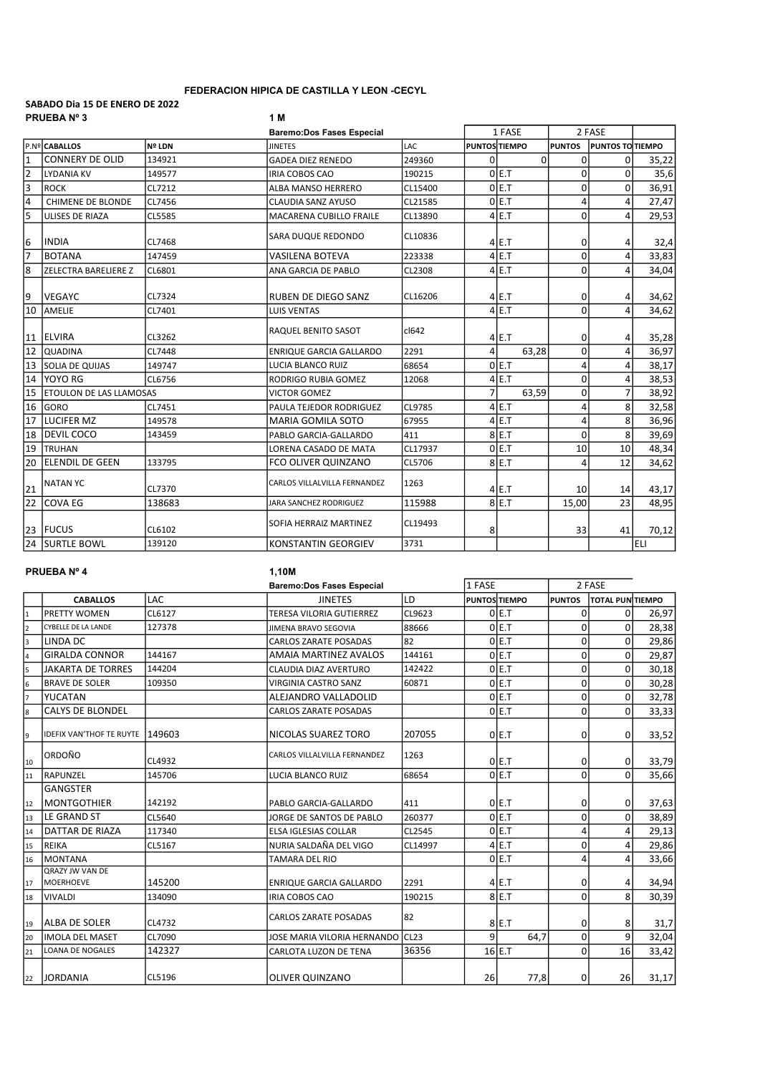### FEDERACION HIPICA DE CASTILLA Y LEON -CECYL

#### SABADO Dia 15 DE ENERO DE 2022 PRUEBA Nº 3 1 M

| 1 FASE<br>2 FASE<br><b>Baremo:Dos Fases Especial</b><br>lp.nºl <b>caballos</b><br><b>PUNTOS TIEMPO</b><br><b>Nº LDN</b><br><b>JINETES</b><br>LAC<br><b>PUNTOS</b><br>Ipuntos toltiempo<br><b>CONNERY DE OLID</b><br>0<br>134921<br>$\Omega$<br>$\mathbf{0}$<br><b>GADEA DIEZ RENEDO</b><br>249360<br>0<br>35,22<br>$\overline{2}$<br>ole.t<br>0<br>$\Omega$<br>35,6<br><b>LYDANIA KV</b><br>149577<br><b>IRIA COBOS CAO</b><br>190215<br>$\frac{3}{4}$<br>0 E.T<br>0<br>36,91<br>$\Omega$<br><b>ROCK</b><br>CL7212<br>ALBA MANSO HERRERO<br>CL15400<br>4<br>OLE.T<br>CHIMENE DE BLONDE<br>4<br>27,47<br>CL7456<br><b>CLAUDIA SANZ AYUSO</b><br>CL21585<br>$\overline{5}$<br>0<br>$4$ E.T<br>29,53<br><b>ULISES DE RIAZA</b><br><b>CL5585</b><br><b>MACARENA CUBILLO FRAILE</b><br>CL13890<br>4<br>CL10836<br>SARA DUQUE REDONDO<br><b>INDIA</b><br>CL7468<br>$4$ E.T<br>0<br>32,4<br>4<br>$4$ E.T<br>0<br><b>BOTANA</b><br>33,83<br>147459<br><b>VASILENA BOTEVA</b><br>223338<br>4<br>$4$ E.T<br>0<br>4<br>34,04<br><b>ZELECTRA BARELIERE Z</b><br>ANA GARCIA DE PABLO<br>CL2308<br>CL6801<br><b>VEGAYC</b><br><b>RUBEN DE DIEGO SANZ</b><br>0<br>CL7324<br>CL16206<br>$4$ E.T<br>34,62<br>4<br>$\overline{10}$<br>$\Omega$<br>$4$ E.T<br>4<br>AMELIE<br>34,62<br>CL7401<br><b>LUIS VENTAS</b><br>cl642<br>RAQUEL BENITO SASOT<br><b>IELVIRA</b><br>$4$ <sub>E</sub> .T<br>0<br>CL3262<br>35,28<br>4<br>$\overline{12}$<br>$\overline{0}$<br>2291<br>4<br>63,28<br>4<br>36,97<br>CL7448<br><b>QUADINA</b><br><b>ENRIQUE GARCIA GALLARDO</b><br>$\overline{13}$<br>ole.t<br>$\overline{4}$<br>4<br>38,17<br>149747<br>68654<br>ISOLIA DE QUIJAS<br><b>LUCIA BLANCO RUIZ</b><br>$\overline{14}$<br>$\mathbf 0$<br>le.t<br>lyoyo rg<br>38,53<br>RODRIGO RUBIA GOMEZ<br>12068<br>4<br>CL6756<br>4<br>$\overline{15}$<br>$\overline{7}$<br>0<br>$\overline{7}$<br>63,59<br><b>ETOULON DE LAS LLAMOSAS</b><br>38,92<br><b>VICTOR GOMEZ</b><br>$\overline{16}$<br>$4$ <sub>E</sub> .T<br>4<br>8<br>32,58<br><b>GORO</b><br><b>CL9785</b><br>CL7451<br>PAULA TEJEDOR RODRIGUEZ<br>$\overline{17}$<br>llucifer mz<br>149578<br>MARIA GOMILA SOTO<br>67955<br>$4$ E.T<br>4<br>8<br>36,96<br>$\overline{18}$<br>$\mathbf 0$<br>8<br><b>DEVIL COCO</b><br>8 <sub>IE.T</sub><br>143459<br>39,69<br>411<br>PABLO GARCIA-GALLARDO<br>$\overline{19}$<br>OLE.T<br>10<br>10<br>48,34<br><b>TRUHAN</b><br>CL17937<br>LORENA CASADO DE MATA<br>$\overline{20}$<br><b>IELENDIL DE GEEN</b><br>8E.T<br>4<br>12<br>133795<br>FCO OLIVER QUINZANO<br>CL5706<br>34,62<br><b>NATAN YC</b><br>CARLOS VILLALVILLA FERNANDEZ<br>1263<br>CL7370<br>$4$ <sub>E</sub> .T<br>10<br>14<br>43,17<br>$\overline{22}$<br><b>COVA EG</b><br>138683<br>115988<br>$8$ E.T<br>23<br>15,00<br>JARA SANCHEZ RODRIGUEZ<br>48,95<br>SOFIA HERRAIZ MARTINEZ<br>CL19493<br>23 FUCUS<br>CL6102<br>8<br>70,12<br>33<br>41<br>$\overline{24}$<br><b>SURTLE BOWL</b><br>3731<br>139120<br>ELI<br><b>KONSTANTIN GEORGIEV</b> |                                      |  |  |  |  |  |  |
|----------------------------------------------------------------------------------------------------------------------------------------------------------------------------------------------------------------------------------------------------------------------------------------------------------------------------------------------------------------------------------------------------------------------------------------------------------------------------------------------------------------------------------------------------------------------------------------------------------------------------------------------------------------------------------------------------------------------------------------------------------------------------------------------------------------------------------------------------------------------------------------------------------------------------------------------------------------------------------------------------------------------------------------------------------------------------------------------------------------------------------------------------------------------------------------------------------------------------------------------------------------------------------------------------------------------------------------------------------------------------------------------------------------------------------------------------------------------------------------------------------------------------------------------------------------------------------------------------------------------------------------------------------------------------------------------------------------------------------------------------------------------------------------------------------------------------------------------------------------------------------------------------------------------------------------------------------------------------------------------------------------------------------------------------------------------------------------------------------------------------------------------------------------------------------------------------------------------------------------------------------------------------------------------------------------------------------------------------------------------------------------------------------------------------------------------------------------------------------------------------------------------------------------------------------------------------------------------------------------------------------------------------------------------------------------------------------------------------------------------------------------------------------------------------------------------------------------------------------------------------------------------------------------------------------------------------------------------------|--------------------------------------|--|--|--|--|--|--|
|                                                                                                                                                                                                                                                                                                                                                                                                                                                                                                                                                                                                                                                                                                                                                                                                                                                                                                                                                                                                                                                                                                                                                                                                                                                                                                                                                                                                                                                                                                                                                                                                                                                                                                                                                                                                                                                                                                                                                                                                                                                                                                                                                                                                                                                                                                                                                                                                                                                                                                                                                                                                                                                                                                                                                                                                                                                                                                                                                                            |                                      |  |  |  |  |  |  |
|                                                                                                                                                                                                                                                                                                                                                                                                                                                                                                                                                                                                                                                                                                                                                                                                                                                                                                                                                                                                                                                                                                                                                                                                                                                                                                                                                                                                                                                                                                                                                                                                                                                                                                                                                                                                                                                                                                                                                                                                                                                                                                                                                                                                                                                                                                                                                                                                                                                                                                                                                                                                                                                                                                                                                                                                                                                                                                                                                                            |                                      |  |  |  |  |  |  |
|                                                                                                                                                                                                                                                                                                                                                                                                                                                                                                                                                                                                                                                                                                                                                                                                                                                                                                                                                                                                                                                                                                                                                                                                                                                                                                                                                                                                                                                                                                                                                                                                                                                                                                                                                                                                                                                                                                                                                                                                                                                                                                                                                                                                                                                                                                                                                                                                                                                                                                                                                                                                                                                                                                                                                                                                                                                                                                                                                                            | $\overline{1}$                       |  |  |  |  |  |  |
|                                                                                                                                                                                                                                                                                                                                                                                                                                                                                                                                                                                                                                                                                                                                                                                                                                                                                                                                                                                                                                                                                                                                                                                                                                                                                                                                                                                                                                                                                                                                                                                                                                                                                                                                                                                                                                                                                                                                                                                                                                                                                                                                                                                                                                                                                                                                                                                                                                                                                                                                                                                                                                                                                                                                                                                                                                                                                                                                                                            |                                      |  |  |  |  |  |  |
|                                                                                                                                                                                                                                                                                                                                                                                                                                                                                                                                                                                                                                                                                                                                                                                                                                                                                                                                                                                                                                                                                                                                                                                                                                                                                                                                                                                                                                                                                                                                                                                                                                                                                                                                                                                                                                                                                                                                                                                                                                                                                                                                                                                                                                                                                                                                                                                                                                                                                                                                                                                                                                                                                                                                                                                                                                                                                                                                                                            |                                      |  |  |  |  |  |  |
|                                                                                                                                                                                                                                                                                                                                                                                                                                                                                                                                                                                                                                                                                                                                                                                                                                                                                                                                                                                                                                                                                                                                                                                                                                                                                                                                                                                                                                                                                                                                                                                                                                                                                                                                                                                                                                                                                                                                                                                                                                                                                                                                                                                                                                                                                                                                                                                                                                                                                                                                                                                                                                                                                                                                                                                                                                                                                                                                                                            |                                      |  |  |  |  |  |  |
|                                                                                                                                                                                                                                                                                                                                                                                                                                                                                                                                                                                                                                                                                                                                                                                                                                                                                                                                                                                                                                                                                                                                                                                                                                                                                                                                                                                                                                                                                                                                                                                                                                                                                                                                                                                                                                                                                                                                                                                                                                                                                                                                                                                                                                                                                                                                                                                                                                                                                                                                                                                                                                                                                                                                                                                                                                                                                                                                                                            |                                      |  |  |  |  |  |  |
|                                                                                                                                                                                                                                                                                                                                                                                                                                                                                                                                                                                                                                                                                                                                                                                                                                                                                                                                                                                                                                                                                                                                                                                                                                                                                                                                                                                                                                                                                                                                                                                                                                                                                                                                                                                                                                                                                                                                                                                                                                                                                                                                                                                                                                                                                                                                                                                                                                                                                                                                                                                                                                                                                                                                                                                                                                                                                                                                                                            | 6                                    |  |  |  |  |  |  |
|                                                                                                                                                                                                                                                                                                                                                                                                                                                                                                                                                                                                                                                                                                                                                                                                                                                                                                                                                                                                                                                                                                                                                                                                                                                                                                                                                                                                                                                                                                                                                                                                                                                                                                                                                                                                                                                                                                                                                                                                                                                                                                                                                                                                                                                                                                                                                                                                                                                                                                                                                                                                                                                                                                                                                                                                                                                                                                                                                                            | 7                                    |  |  |  |  |  |  |
|                                                                                                                                                                                                                                                                                                                                                                                                                                                                                                                                                                                                                                                                                                                                                                                                                                                                                                                                                                                                                                                                                                                                                                                                                                                                                                                                                                                                                                                                                                                                                                                                                                                                                                                                                                                                                                                                                                                                                                                                                                                                                                                                                                                                                                                                                                                                                                                                                                                                                                                                                                                                                                                                                                                                                                                                                                                                                                                                                                            | $\overline{\overline{\overline{8}}}$ |  |  |  |  |  |  |
|                                                                                                                                                                                                                                                                                                                                                                                                                                                                                                                                                                                                                                                                                                                                                                                                                                                                                                                                                                                                                                                                                                                                                                                                                                                                                                                                                                                                                                                                                                                                                                                                                                                                                                                                                                                                                                                                                                                                                                                                                                                                                                                                                                                                                                                                                                                                                                                                                                                                                                                                                                                                                                                                                                                                                                                                                                                                                                                                                                            | 9                                    |  |  |  |  |  |  |
|                                                                                                                                                                                                                                                                                                                                                                                                                                                                                                                                                                                                                                                                                                                                                                                                                                                                                                                                                                                                                                                                                                                                                                                                                                                                                                                                                                                                                                                                                                                                                                                                                                                                                                                                                                                                                                                                                                                                                                                                                                                                                                                                                                                                                                                                                                                                                                                                                                                                                                                                                                                                                                                                                                                                                                                                                                                                                                                                                                            |                                      |  |  |  |  |  |  |
|                                                                                                                                                                                                                                                                                                                                                                                                                                                                                                                                                                                                                                                                                                                                                                                                                                                                                                                                                                                                                                                                                                                                                                                                                                                                                                                                                                                                                                                                                                                                                                                                                                                                                                                                                                                                                                                                                                                                                                                                                                                                                                                                                                                                                                                                                                                                                                                                                                                                                                                                                                                                                                                                                                                                                                                                                                                                                                                                                                            | 11                                   |  |  |  |  |  |  |
|                                                                                                                                                                                                                                                                                                                                                                                                                                                                                                                                                                                                                                                                                                                                                                                                                                                                                                                                                                                                                                                                                                                                                                                                                                                                                                                                                                                                                                                                                                                                                                                                                                                                                                                                                                                                                                                                                                                                                                                                                                                                                                                                                                                                                                                                                                                                                                                                                                                                                                                                                                                                                                                                                                                                                                                                                                                                                                                                                                            |                                      |  |  |  |  |  |  |
|                                                                                                                                                                                                                                                                                                                                                                                                                                                                                                                                                                                                                                                                                                                                                                                                                                                                                                                                                                                                                                                                                                                                                                                                                                                                                                                                                                                                                                                                                                                                                                                                                                                                                                                                                                                                                                                                                                                                                                                                                                                                                                                                                                                                                                                                                                                                                                                                                                                                                                                                                                                                                                                                                                                                                                                                                                                                                                                                                                            |                                      |  |  |  |  |  |  |
|                                                                                                                                                                                                                                                                                                                                                                                                                                                                                                                                                                                                                                                                                                                                                                                                                                                                                                                                                                                                                                                                                                                                                                                                                                                                                                                                                                                                                                                                                                                                                                                                                                                                                                                                                                                                                                                                                                                                                                                                                                                                                                                                                                                                                                                                                                                                                                                                                                                                                                                                                                                                                                                                                                                                                                                                                                                                                                                                                                            |                                      |  |  |  |  |  |  |
|                                                                                                                                                                                                                                                                                                                                                                                                                                                                                                                                                                                                                                                                                                                                                                                                                                                                                                                                                                                                                                                                                                                                                                                                                                                                                                                                                                                                                                                                                                                                                                                                                                                                                                                                                                                                                                                                                                                                                                                                                                                                                                                                                                                                                                                                                                                                                                                                                                                                                                                                                                                                                                                                                                                                                                                                                                                                                                                                                                            |                                      |  |  |  |  |  |  |
|                                                                                                                                                                                                                                                                                                                                                                                                                                                                                                                                                                                                                                                                                                                                                                                                                                                                                                                                                                                                                                                                                                                                                                                                                                                                                                                                                                                                                                                                                                                                                                                                                                                                                                                                                                                                                                                                                                                                                                                                                                                                                                                                                                                                                                                                                                                                                                                                                                                                                                                                                                                                                                                                                                                                                                                                                                                                                                                                                                            |                                      |  |  |  |  |  |  |
|                                                                                                                                                                                                                                                                                                                                                                                                                                                                                                                                                                                                                                                                                                                                                                                                                                                                                                                                                                                                                                                                                                                                                                                                                                                                                                                                                                                                                                                                                                                                                                                                                                                                                                                                                                                                                                                                                                                                                                                                                                                                                                                                                                                                                                                                                                                                                                                                                                                                                                                                                                                                                                                                                                                                                                                                                                                                                                                                                                            |                                      |  |  |  |  |  |  |
|                                                                                                                                                                                                                                                                                                                                                                                                                                                                                                                                                                                                                                                                                                                                                                                                                                                                                                                                                                                                                                                                                                                                                                                                                                                                                                                                                                                                                                                                                                                                                                                                                                                                                                                                                                                                                                                                                                                                                                                                                                                                                                                                                                                                                                                                                                                                                                                                                                                                                                                                                                                                                                                                                                                                                                                                                                                                                                                                                                            |                                      |  |  |  |  |  |  |
|                                                                                                                                                                                                                                                                                                                                                                                                                                                                                                                                                                                                                                                                                                                                                                                                                                                                                                                                                                                                                                                                                                                                                                                                                                                                                                                                                                                                                                                                                                                                                                                                                                                                                                                                                                                                                                                                                                                                                                                                                                                                                                                                                                                                                                                                                                                                                                                                                                                                                                                                                                                                                                                                                                                                                                                                                                                                                                                                                                            |                                      |  |  |  |  |  |  |
|                                                                                                                                                                                                                                                                                                                                                                                                                                                                                                                                                                                                                                                                                                                                                                                                                                                                                                                                                                                                                                                                                                                                                                                                                                                                                                                                                                                                                                                                                                                                                                                                                                                                                                                                                                                                                                                                                                                                                                                                                                                                                                                                                                                                                                                                                                                                                                                                                                                                                                                                                                                                                                                                                                                                                                                                                                                                                                                                                                            |                                      |  |  |  |  |  |  |
|                                                                                                                                                                                                                                                                                                                                                                                                                                                                                                                                                                                                                                                                                                                                                                                                                                                                                                                                                                                                                                                                                                                                                                                                                                                                                                                                                                                                                                                                                                                                                                                                                                                                                                                                                                                                                                                                                                                                                                                                                                                                                                                                                                                                                                                                                                                                                                                                                                                                                                                                                                                                                                                                                                                                                                                                                                                                                                                                                                            | 21                                   |  |  |  |  |  |  |
|                                                                                                                                                                                                                                                                                                                                                                                                                                                                                                                                                                                                                                                                                                                                                                                                                                                                                                                                                                                                                                                                                                                                                                                                                                                                                                                                                                                                                                                                                                                                                                                                                                                                                                                                                                                                                                                                                                                                                                                                                                                                                                                                                                                                                                                                                                                                                                                                                                                                                                                                                                                                                                                                                                                                                                                                                                                                                                                                                                            |                                      |  |  |  |  |  |  |
|                                                                                                                                                                                                                                                                                                                                                                                                                                                                                                                                                                                                                                                                                                                                                                                                                                                                                                                                                                                                                                                                                                                                                                                                                                                                                                                                                                                                                                                                                                                                                                                                                                                                                                                                                                                                                                                                                                                                                                                                                                                                                                                                                                                                                                                                                                                                                                                                                                                                                                                                                                                                                                                                                                                                                                                                                                                                                                                                                                            |                                      |  |  |  |  |  |  |
|                                                                                                                                                                                                                                                                                                                                                                                                                                                                                                                                                                                                                                                                                                                                                                                                                                                                                                                                                                                                                                                                                                                                                                                                                                                                                                                                                                                                                                                                                                                                                                                                                                                                                                                                                                                                                                                                                                                                                                                                                                                                                                                                                                                                                                                                                                                                                                                                                                                                                                                                                                                                                                                                                                                                                                                                                                                                                                                                                                            |                                      |  |  |  |  |  |  |

# PRUEBA Nº 4 1,10M

|                         |                                     |            | <b>Baremo:Dos Fases Especial</b>  |               | 1 FASE       |                      | 2 FASE         |                    |       |
|-------------------------|-------------------------------------|------------|-----------------------------------|---------------|--------------|----------------------|----------------|--------------------|-------|
|                         | <b>CABALLOS</b>                     | <b>LAC</b> | <b>JINETES</b>                    | LD            |              | <b>PUNTOS TIEMPO</b> | <b>PUNTOS</b>  | Ι ΤΟΤΑΙ ΡUΝΙΤΙΕΜΡΟ |       |
| $\overline{1}$          | <b>PRETTY WOMEN</b>                 | CL6127     | <b>TERESA VILORIA GUTIERREZ</b>   | CL9623        |              | 0 E.T                | $\overline{0}$ | $\Omega$           | 26,97 |
| $\overline{2}$          | <b>CYBELLE DE LA LANDE</b>          | 127378     | JIMENA BRAVO SEGOVIA              | 88666         |              | 0 E.T                | 0              | 0                  | 28,38 |
| $\overline{\mathbf{3}}$ | LINDA DC                            |            | <b>CARLOS ZARATE POSADAS</b>      | 82            |              | ole.t                | $\mathbf{0}$   | 0                  | 29,86 |
| $\overline{4}$          | <b>GIRALDA CONNOR</b>               | 144167     | AMAIA MARTINEZ AVALOS             | 144161        |              | 0 E.T                | $\overline{0}$ | 0                  | 29,87 |
| 5                       | JAKARTA DE TORRES                   | 144204     | CLAUDIA DIAZ AVERTURO             | 142422        |              | OLE.T                | $\overline{0}$ | $\Omega$           | 30,18 |
| 6                       | <b>BRAVE DE SOLER</b>               | 109350     | <b>VIRGINIA CASTRO SANZ</b>       | 60871         |              | 0 E.T                | $\overline{0}$ | 0                  | 30,28 |
| 7                       | IYUCATAN                            |            | ALEJANDRO VALLADOLID              |               |              | OLE.T                | $\overline{0}$ | $\Omega$           | 32,78 |
| $\overline{\mathbf{8}}$ | CALYS DE BLONDEL                    |            | <b>CARLOS ZARATE POSADAS</b>      |               |              | 0 E.T                | $\Omega$       | $\Omega$           | 33,33 |
| <b>g</b>                | <b>IDEFIX VAN'THOF TE RUYTE</b>     | 149603     | NICOLAS SUAREZ TORO               | 207055        |              | 0 E.T                | 0              | 0                  | 33,52 |
| 10                      | lordoño                             | CL4932     | CARLOS VILLALVILLA FERNANDEZ      | 1263          |              | OIE.T                | 0              | $\Omega$           | 33,79 |
| 11                      | <b>RAPUNZEL</b>                     | 145706     | LUCIA BLANCO RUIZ                 | 68654         |              | OLE.T                | $\overline{0}$ |                    | 35,66 |
|                         | <b>GANGSTER</b>                     |            |                                   |               |              |                      |                |                    |       |
| 12                      | <b>IMONTGOTHIER</b>                 | 142192     | PABLO GARCIA-GALLARDO             | 411           |              | 0 E.T                | 0              | $\Omega$           | 37,63 |
| 13                      | LE GRAND ST                         | CL5640     | JORGE DE SANTOS DE PABLO          | 260377        |              | 0 E.T                | $\overline{0}$ | 0                  | 38,89 |
| 14                      | <b>DATTAR DE RIAZA</b>              | 117340     | <b>ELSA IGLESIAS COLLAR</b>       | <b>CL2545</b> |              | 0 E.T                | 4              | 4                  | 29,13 |
| 15                      | <b>REIKA</b>                        | CL5167     | NURIA SALDAÑA DEL VIGO            | CL14997       |              | $4$ E.T              | $\Omega$       | 4                  | 29,86 |
| 16                      | IMONTANA                            |            | <b>TAMARA DEL RIO</b>             |               |              | OLE.T                | 4              | 4                  | 33,66 |
| 17                      | <b>ORAZY JW VAN DE</b><br>MOERHOEVE | 145200     | <b>ENRIQUE GARCIA GALLARDO</b>    | 2291          |              | $4$ E.T              | 0              | 4                  | 34,94 |
| 18                      | <b>VIVALDI</b>                      | 134090     | <b>IRIA COBOS CAO</b>             | 190215        |              | 8 <sub>IE.T</sub>    | $\overline{0}$ | 8                  | 30,39 |
| 19                      | <b>JALBA DE SOLER</b>               | CL4732     | <b>CARLOS ZARATE POSADAS</b>      | 82            |              | $8$ E.T              | 0              | 8                  | 31,7  |
| 20                      | limola del MASET                    | CL7090     | JOSE MARIA VILORIA HERNANDO (CL23 |               | $\mathbf{q}$ | 64,7                 | $\overline{0}$ | 9                  | 32,04 |
| 21                      | <b>LOANA DE NOGALES</b>             | 142327     | CARLOTA LUZON DE TENA             | 36356         |              | $16$  E.T            | $\overline{0}$ | 16                 | 33,42 |
| 22                      | <b>JORDANIA</b>                     | CL5196     | OLIVER QUINZANO                   |               | 26           | 77,8                 | $\mathbf{0}$   | 26                 | 31,17 |